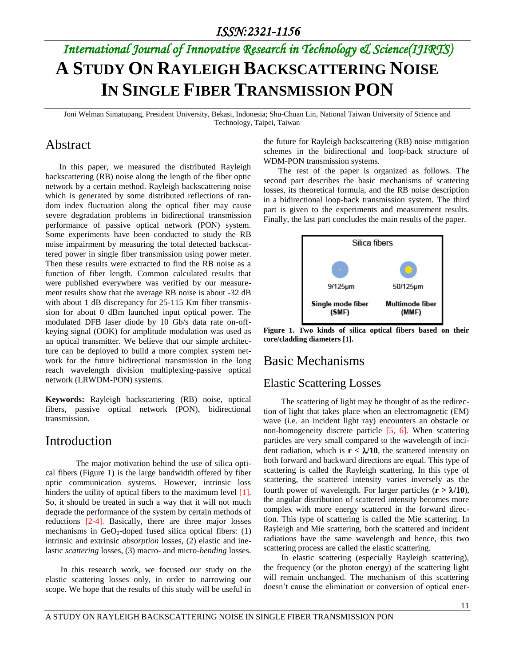# *International Journal of Innovative Research in Technology & Science(IJIRTS)* **A STUDY ON RAYLEIGH BACKSCATTERING NOISE IN SINGLE FIBER TRANSMISSION PON**

Joni Welman Simatupang, President University, Bekasi, Indonesia; Shu-Chuan Lin, National Taiwan University of Science and Technology, Taipei, Taiwan

#### Abstract

In this paper, we measured the distributed Rayleigh backscattering (RB) noise along the length of the fiber optic network by a certain method. Rayleigh backscattering noise which is generated by some distributed reflections of random index fluctuation along the optical fiber may cause severe degradation problems in bidirectional transmission performance of passive optical network (PON) system. Some experiments have been conducted to study the RB noise impairment by measuring the total detected backscattered power in single fiber transmission using power meter. Then these results were extracted to find the RB noise as a function of fiber length. Common calculated results that were published everywhere was verified by our measurement results show that the average RB noise is about -32 dB with about 1 dB discrepancy for 25-115 Km fiber transmission for about 0 dBm launched input optical power. The modulated DFB laser diode by 10 Gb/s data rate on-offkeying signal (OOK) for amplitude modulation was used as an optical transmitter. We believe that our simple architecture can be deployed to build a more complex system network for the future bidirectional transmission in the long reach wavelength division multiplexing-passive optical network (LRWDM-PON) systems.

**Keywords:** Rayleigh backscattering (RB) noise, optical fibers, passive optical network (PON), bidirectional transmission.

#### Introduction

The major motivation behind the use of silica optical fibers (Figure 1) is the large bandwidth offered by fiber optic communication systems. However, intrinsic loss hinders the utility of optical fibers to the maximum level [1]. So, it should be treated in such a way that it will not much degrade the performance of the system by certain methods of reductions [2-4]. Basically, there are three major losses mechanisms in  $GeO_2$ -doped fused silica optical fibers: (1) intrinsic and extrinsic *absorption* losses, (2) elastic and inelastic *scattering* losses, (3) macro- and micro-*bending* losses.

In this research work, we focused our study on the elastic scattering losses only, in order to narrowing our scope. We hope that the results of this study will be useful in

the future for Rayleigh backscattering (RB) noise mitigation schemes in the bidirectional and loop-back structure of WDM-PON transmission systems.

The rest of the paper is organized as follows. The second part describes the basic mechanisms of scattering losses, its theoretical formula, and the RB noise description in a bidirectional loop-back transmission system. The third part is given to the experiments and measurement results. Finally, the last part concludes the main results of the paper.



**Figure 1. Two kinds of silica optical fibers based on their core/cladding diameters [1].**

#### Basic Mechanisms

#### Elastic Scattering Losses

The scattering of light may be thought of as the redirection of light that takes place when an electromagnetic (EM) wave (i.e. an incident light ray) encounters an obstacle or non-homogeneity discrete particle [5, 6]. When scattering particles are very small compared to the wavelength of incident radiation, which is  $\mathbf{r} < \lambda/10$ , the scattered intensity on both forward and backward directions are equal. This type of scattering is called the Rayleigh scattering. In this type of scattering, the scattered intensity varies inversely as the fourth power of wavelength. For larger particles  $(r > \lambda/10)$ , the angular distribution of scattered intensity becomes more complex with more energy scattered in the forward direction. This type of scattering is called the Mie scattering. In Rayleigh and Mie scattering, both the scattered and incident radiations have the same wavelength and hence, this two scattering process are called the elastic scattering.

In elastic scattering (especially Rayleigh scattering), the frequency (or the photon energy) of the scattering light will remain unchanged. The mechanism of this scattering doesn't cause the elimination or conversion of optical ener-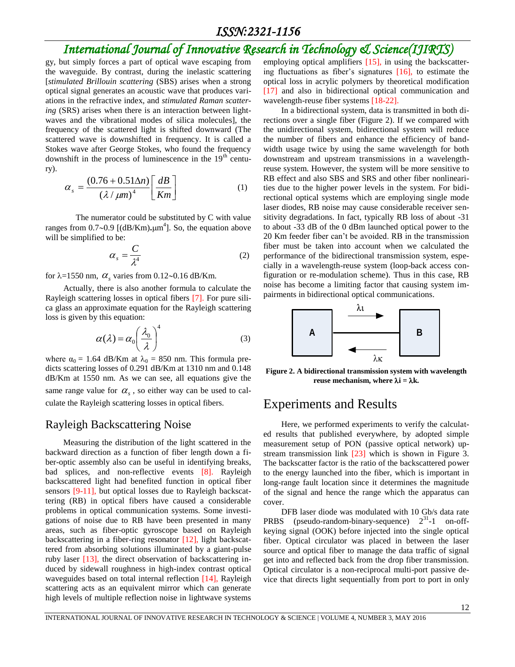#### *ISSN:2321-1156*

## *International Journal of Innovative Research in Technology & Science(IJIRTS)*

gy, but simply forces a part of optical wave escaping from the waveguide. By contrast, during the inelastic scattering [*stimulated Brillouin scattering* (SBS) arises when a strong optical signal generates an acoustic wave that produces variations in the refractive index, and *stimulated Raman scattering* (SRS) arises when there is an interaction between lightwaves and the vibrational modes of silica molecules], the frequency of the scattered light is shifted downward (The scattered wave is downshifted in frequency. It is called a Stokes wave after George Stokes, who found the frequency downshift in the process of luminescence in the  $19<sup>th</sup>$  century).

$$
\alpha_s = \frac{(0.76 + 0.51\Delta n)}{(\lambda/\mu m)^4} \left[\frac{dB}{Km}\right]
$$
 (1)

The numerator could be substituted by C with value ranges from  $0.7 \sim 0.9$  [(dB/Km)<sub>•</sub>µm<sup>4</sup>]. So, the equation above will be simplified to be:

$$
\alpha_s = \frac{C}{\lambda^4} \tag{2}
$$

for  $\lambda = 1550$  nm,  $\alpha_s$  varies from 0.12~0.16 dB/Km.

Actually, there is also another formula to calculate the Rayleigh scattering losses in optical fibers [7]. For pure silica glass an approximate equation for the Rayleigh scattering loss is given by this equation:

$$
\alpha(\lambda) = \alpha_0 \left(\frac{\lambda_0}{\lambda}\right)^4 \tag{3}
$$

where  $\alpha_0 = 1.64$  dB/Km at  $\lambda_0 = 850$  nm. This formula predicts scattering losses of 0.291 dB/Km at 1310 nm and 0.148 dB/Km at 1550 nm. As we can see, all equations give the same range value for  $\alpha_s$ , so either way can be used to calculate the Rayleigh scattering losses in optical fibers.

#### Rayleigh Backscattering Noise

Measuring the distribution of the light scattered in the backward direction as a function of fiber length down a fiber-optic assembly also can be useful in identifying breaks, bad splices, and non-reflective events [8]. Rayleigh backscattered light had benefited function in optical fiber sensors [9-11], but optical losses due to Rayleigh backscattering (RB) in optical fibers have caused a considerable problems in optical communication systems. Some investigations of noise due to RB have been presented in many areas, such as fiber-optic gyroscope based on Rayleigh backscattering in a fiber-ring resonator [12], light backscattered from absorbing solutions illuminated by a giant-pulse ruby laser [13], the direct observation of backscattering induced by sidewall roughness in high-index contrast optical waveguides based on total internal reflection [14], Rayleigh scattering acts as an equivalent mirror which can generate high levels of multiple reflection noise in lightwave systems

employing optical amplifiers [15], in using the backscattering fluctuations as fiber's signatures [16], to estimate the optical loss in acrylic polymers by theoretical modification [17] and also in bidirectional optical communication and wavelength-reuse fiber systems [18-22].

In a bidirectional system, data is transmitted in both directions over a single fiber (Figure 2). If we compared with the unidirectional system, bidirectional system will reduce the number of fibers and enhance the efficiency of bandwidth usage twice by using the same wavelength for both downstream and upstream transmissions in a wavelengthreuse system. However, the system will be more sensitive to RB effect and also SBS and SRS and other fiber nonlinearities due to the higher power levels in the system. For bidirectional optical systems which are employing single mode laser diodes, RB noise may cause considerable receiver sensitivity degradations. In fact, typically RB loss of about -31 to about -33 dB of the 0 dBm launched optical power to the 20 Km feeder fiber can't be avoided. RB in the transmission fiber must be taken into account when we calculated the performance of the bidirectional transmission system, especially in a wavelength-reuse system (loop-back access configuration or re-modulation scheme). Thus in this case, RB noise has become a limiting factor that causing system impairments in bidirectional optical communications.



**Figure 2. A bidirectional transmission system with wavelength reuse** mechanism, where  $\lambda$ **i** =  $\lambda$ **k**.

#### Experiments and Results

Here, we performed experiments to verify the calculated results that published everywhere, by adopted simple measurement setup of PON (passive optical network) upstream transmission link [23] which is shown in Figure 3. The backscatter factor is the ratio of the backscattered power to the energy launched into the fiber, which is important in long-range fault location since it determines the magnitude of the signal and hence the range which the apparatus can cover.

DFB laser diode was modulated with 10 Gb/s data rate PRBS (pseudo-random-binary-sequence)  $2^{31}$ -1 on-offkeying signal (OOK) before injected into the single optical fiber. Optical circulator was placed in between the laser source and optical fiber to manage the data traffic of signal get into and reflected back from the drop fiber transmission. Optical circulator is a non-reciprocal multi-port passive device that directs light sequentially from port to port in only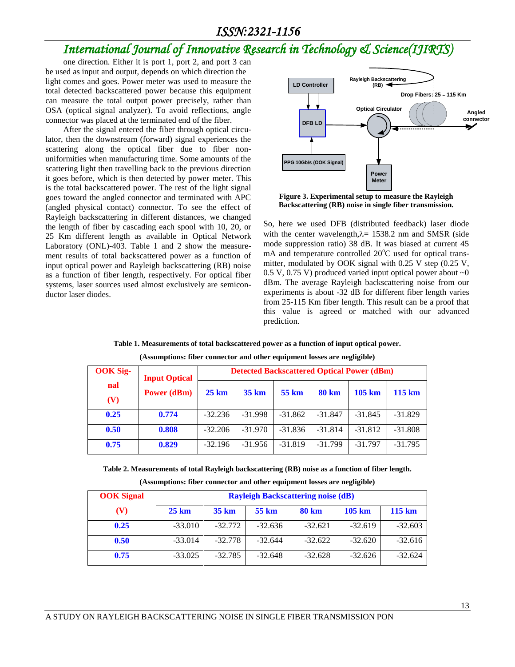#### *ISSN:2321-1156*

## *International Journal of Innovative Research in Technology & Science(IJIRTS)*

one direction. Either it is port 1, port 2, and port 3 can be used as input and output, depends on which direction the light comes and goes. Power meter was used to measure the total detected backscattered power because this equipment can measure the total output power precisely, rather than OSA (optical signal analyzer). To avoid reflections, angle connector was placed at the terminated end of the fiber.

After the signal entered the fiber through optical circulator, then the downstream (forward) signal experiences the scattering along the optical fiber due to fiber nonuniformities when manufacturing time. Some amounts of the scattering light then travelling back to the previous direction it goes before, which is then detected by power meter. This is the total backscattered power. The rest of the light signal goes toward the angled connector and terminated with APC (angled physical contact) connector. To see the effect of Rayleigh backscattering in different distances, we changed the length of fiber by cascading each spool with 10, 20, or 25 Km different length as available in Optical Network Laboratory (ONL)-403. Table 1 and 2 show the measurement results of total backscattered power as a function of input optical power and Rayleigh backscattering (RB) noise as a function of fiber length, respectively. For optical fiber systems, laser sources used almost exclusively are semiconductor laser diodes.



**Figure 3. Experimental setup to measure the Rayleigh Backscattering (RB) noise in single fiber transmission.**

So, here we used DFB (distributed feedback) laser diode with the center wavelength, $\lambda$  = 1538.2 nm and SMSR (side mode suppression ratio) 38 dB. It was biased at current 45 mA and temperature controlled  $20^{\circ}$ C used for optical transmitter, modulated by OOK signal with 0.25 V step (0.25 V,  $0.5$  V,  $0.75$  V) produced varied input optical power about  $\sim 0$ dBm. The average Rayleigh backscattering noise from our experiments is about -32 dB for different fiber length varies from 25-115 Km fiber length. This result can be a proof that this value is agreed or matched with our advanced prediction.

**Table 1. Measurements of total backscattered power as a function of input optical power.**

| <b>OOK Sig-</b><br>nal<br>(V) | <b>Input Optical</b><br><b>Power (dBm)</b> | <b>Detected Backscattered Optical Power (dBm)</b> |                  |           |              |           |           |  |
|-------------------------------|--------------------------------------------|---------------------------------------------------|------------------|-----------|--------------|-----------|-----------|--|
|                               |                                            | $25 \text{ km}$                                   | $35 \mathrm{km}$ | 55 km     | <b>80 km</b> | 105 km    | 115 km    |  |
| 0.25                          | 0.774                                      | $-32.236$                                         | $-31.998$        | $-31.862$ | $-31.847$    | $-31.845$ | $-31.829$ |  |
| 0.50                          | 0.808                                      | $-32.206$                                         | $-31.970$        | $-31.836$ | $-31.814$    | $-31.812$ | $-31.808$ |  |
| 0.75                          | 0.829                                      | $-32.196$                                         | $-31.956$        | $-31.819$ | $-31.799$    | $-31.797$ | $-31.795$ |  |

**(Assumptions: fiber connector and other equipment losses are negligible)**

**Table 2. Measurements of total Rayleigh backscattering (RB) noise as a function of fiber length.**

**(Assumptions: fiber connector and other equipment losses are negligible)**

| <b>OOK</b> Signal | <b>Rayleigh Backscattering noise (dB)</b> |                  |           |              |           |                   |  |  |  |
|-------------------|-------------------------------------------|------------------|-----------|--------------|-----------|-------------------|--|--|--|
| (V)               | $25 \mathrm{km}$                          | $35 \mathrm{km}$ | 55 km     | <b>80 km</b> | 105 km    | $115 \mathrm{km}$ |  |  |  |
| 0.25              | $-33.010$                                 | $-32.772$        | $-32.636$ | $-32.621$    | $-32.619$ | $-32.603$         |  |  |  |
| 0.50              | $-33.014$                                 | $-32.778$        | $-32.644$ | $-32.622$    | $-32.620$ | $-32.616$         |  |  |  |
| 0.75              | $-33.025$                                 | $-32.785$        | $-32.648$ | $-32.628$    | $-32.626$ | $-32.624$         |  |  |  |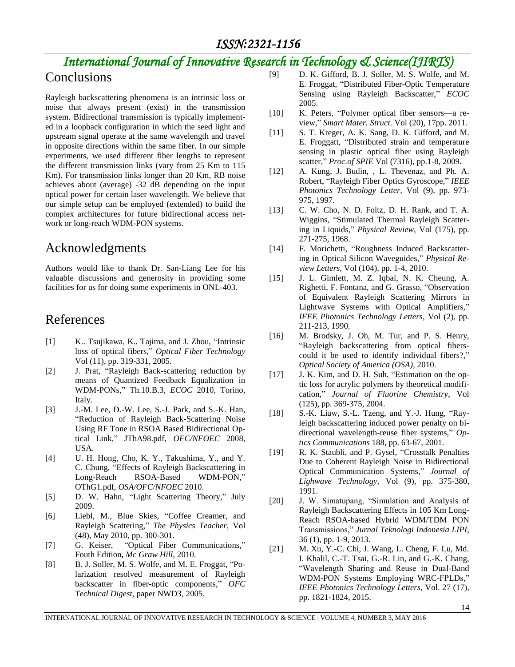## *International Journal of Innovative Research in Technology & Science(IJIRTS)*

## **Conclusions**

Rayleigh backscattering phenomena is an intrinsic loss or noise that always present (exist) in the transmission system. Bidirectional transmission is typically implemented in a loopback configuration in which the seed light and upstream signal operate at the same wavelength and travel in opposite directions within the same fiber. In our simple experiments, we used different fiber lengths to represent the different transmission links (vary from 25 Km to 115 Km). For transmission links longer than 20 Km, RB noise achieves about (average) -32 dB depending on the input optical power for certain laser wavelength. We believe that our simple setup can be employed (extended) to build the complex architectures for future bidirectional access network or long-reach WDM-PON systems.

## Acknowledgments

Authors would like to thank Dr. San-Liang Lee for his valuable discussions and generosity in providing some facilities for us for doing some experiments in ONL-403.

## References

- [1] K.. Tsujikawa, K.. Tajima, and J. Zhou, "Intrinsic loss of optical fibers," *Optical Fiber Technology*  Vol (11), pp. 319-331, 2005.
- [2] J. Prat, "Rayleigh Back-scattering reduction by means of Quantized Feedback Equalization in WDM-PONs," Th.10.B.3, *ECOC* 2010, Torino, Italy.
- [3] J.-M. Lee, D.-W. Lee, S.-J. Park, and S.-K. Han, "Reduction of Rayleigh Back-Scattering Noise Using RF Tone in RSOA Based Bidirectional Optical Link," JThA98.pdf, *OFC/NFOEC* 2008, USA.
- [4] U. H. Hong, Cho, K. Y., Takushima, Y., and Y. C. Chung, "Effects of Rayleigh Backscattering in Long-Reach RSOA-Based WDM-PON," OThG1.pdf, *OSA/OFC/NFOEC* 2010.
- [5] D. W. Hahn, "Light Scattering Theory," July 2009.
- [6] Liebl, M., Blue Skies, "Coffee Creamer, and Rayleigh Scattering," *The Physics Teacher*, Vol (48), May 2010, pp. 300-301.
- [7] G. Keiser, "Optical Fiber Communications," Fouth Edition**,** *Mc Graw Hill*, 2010.
- [8] B. J. Soller, M. S. Wolfe, and M. E. Froggat, "Polarization resolved measurement of Rayleigh backscatter in fiber-optic components," *OFC Technical Digest*, paper NWD3, 2005.
- [9] D. K. Gifford, B. J. Soller, M. S. Wolfe, and M. E. Froggat, "Distributed Fiber-Optic Temperature Sensing using Rayleigh Backscatter," *ECOC* 2005.
- [10] K. Peters, "Polymer optical fiber sensors—a review," *Smart Mater. Struct*. Vol (20), 17pp. 2011.
- [11] S. T. Kreger, A. K. Sang, D. K. Gifford, and M. E. Froggatt, "Distributed strain and temperature sensing in plastic optical fiber using Rayleigh scatter," *Proc.of SPIE* Vol (7316), pp.1-8, 2009.
- [12] A. Kung, J. Budin, , L. Thevenaz, and Ph. A. Robert, "Rayleigh Fiber Optics Gyroscope," *IEEE Photonics Technology Letter*, Vol (9), pp. 973- 975, 1997.
- [13] C. W. Cho, N. D. Foltz, D. H. Rank, and T. A. Wiggins, "Stimulated Thermal Rayleigh Scattering in Liquids," *Physical Review*, Vol (175), pp. 271-275, 1968.
- [14] F. Morichetti, "Roughness Induced Backscattering in Optical Silicon Waveguides," *Physical Review Letters,* Vol (104), pp. 1-4, 2010.
- [15] J. L. Gimlett, M. Z. Iqbal, N. K. Cheung, A. Righetti, F. Fontana, and G. Grasso, "Observation of Equivalent Rayleigh Scattering Mirrors in Lightwave Systems with Optical Amplifiers," *IEEE Photonics Technology Letters*, Vol (2), pp. 211-213, 1990.
- [16] M. Brodsky, J. Oh, M. Tur, and P. S. Henry, "Rayleigh backscattering from optical fiberscould it be used to identify individual fibers?," *Optical Society of America (OSA)*, 2010.
- [17] J. K. Kim, and D. H. Suh, "Estimation on the optic loss for acrylic polymers by theoretical modification," *Journal of Fluorine Chemistry*, Vol (125), pp. 369-375, 2004.
- [18] S.-K. Liaw, S.-L. Tzeng, and Y.-J. Hung, "Rayleigh backscattering induced power penalty on bidirectional wavelength-reuse fiber systems," *Optics Communications* 188, pp. 63-67, 2001.
- [19] R. K. Staubli, and P. Gysel, "Crosstalk Penalties Due to Coherent Rayleigh Noise in Bidirectional Optical Communication Systems," *Journal of Lighwave Technology*, Vol (9), pp. 375-380, 1991.
- [20] J. W. Simatupang, "Simulation and Analysis of Rayleigh Backscattering Effects in 105 Km Long-Reach RSOA-based Hybrid WDM/TDM PON Transmissions," *Jurnal Teknologi Indonesia LIPI*, 36 (1), pp. 1-9, 2013.
- [21] M. Xu, Y.-C. Chi, J. Wang, L. Cheng, F. Lu, Md. I. Khalil, C.-T. Tsai, G.-R. Lin, and G.-K. Chang, "Wavelength Sharing and Reuse in Dual-Band WDM-PON Systems Employing WRC-FPLDs," *IEEE Photonics Technology Letters*, Vol. 27 (17), pp. 1821-1824, 2015.